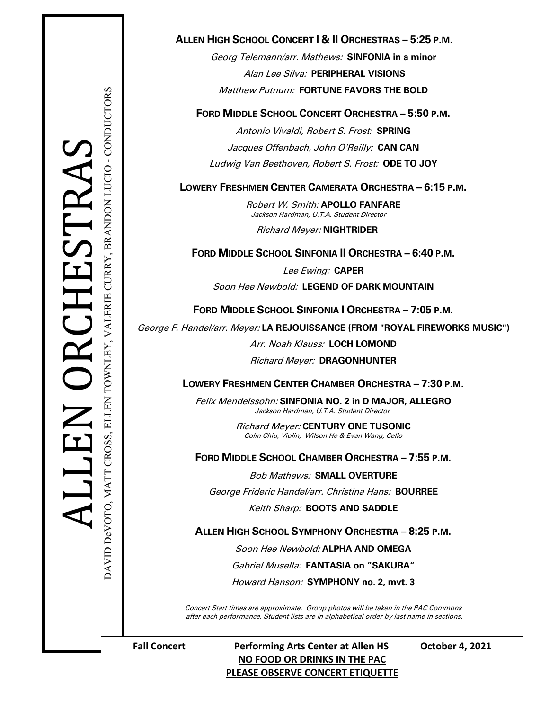# ELLEN TOWNLEY, VALERIE CURRY, BRANDON LUCIO - CONDUCTORS DAVID DeVOTO, MATT CROSS, ELLEN TOWNLEY, VALERIE CURRY, BRANDON LUCIO - CONDUCTORS DAVID DeVOTO, MATT CROSS,

# **ALLEN HIGH SCHOOL CONCERT I & II ORCHESTRAS – 5:25 P.M.**

Georg Telemann/arr. Mathews: **SINFONIA in a minor** Alan Lee Silva: **PERIPHERAL VISIONS** Matthew Putnum: **FORTUNE FAVORS THE BOLD**

# **FORD MIDDLE SCHOOL CONCERT ORCHESTRA – 5:50 P.M.**

Antonio Vivaldi, Robert S. Frost: **SPRING** Jacques Offenbach, John O'Reilly: **CAN CAN** Ludwig Van Beethoven, Robert S. Frost: **ODE TO JOY**

# **LOWERY FRESHMEN CENTER CAMERATA ORCHESTRA – 6:15 P.M.**

Robert W. Smith: **APOLLO FANFARE**Jackson Hardman, U.T.A. Student Director

Richard Meyer: **NIGHTRIDER**

**FORD MIDDLE SCHOOL SINFONIA II ORCHESTRA – 6:40 P.M.**

Lee Ewing: **CAPER**

Soon Hee Newbold: **LEGEND OF DARK MOUNTAIN**

**FORD MIDDLE SCHOOL SINFONIA I ORCHESTRA – 7:05 P.M.**

George F. Handel/arr. Meyer: **LA REJOUISSANCE (FROM "ROYAL FIREWORKS MUSIC")**

Arr. Noah Klauss: **LOCH LOMOND**

Richard Meyer: **DRAGONHUNTER**

**LOWERY FRESHMEN CENTER CHAMBER ORCHESTRA – 7:30 P.M.**

Felix Mendelssohn: **SINFONIA NO. 2 in D MAJOR, ALLEGRO**Jackson Hardman, U.T.A. Student Director

> Richard Meyer: **CENTURY ONE TUSONIC** Colin Chiu, Violin, Wilson He & Evan Wang, Cello

**FORD MIDDLE SCHOOL CHAMBER ORCHESTRA – 7:55 P.M.**

Bob Mathews: **SMALL OVERTURE**

George Frideric Handel/arr. Christina Hans: **BOURREE**

Keith Sharp: **BOOTS AND SADDLE**

**ALLEN HIGH SCHOOL SYMPHONY ORCHESTRA – 8:25 P.M.**

Soon Hee Newbold: **ALPHA AND OMEGA**

Gabriel Musella: **FANTASIA on "SAKURA"**

Howard Hanson: **SYMPHONY no. 2, mvt. 3**

Concert Start times are approximate. Group photos will be taken in the PAC Commons after each performance. Student lists are in alphabetical order by last name in sections.

# **Fall Concert Performing Arts Center at Allen HS October 4, 2021 NO FOOD OR DRINKS IN THE PAC PLEASE OBSERVE CONCERT ETIQUETTE**